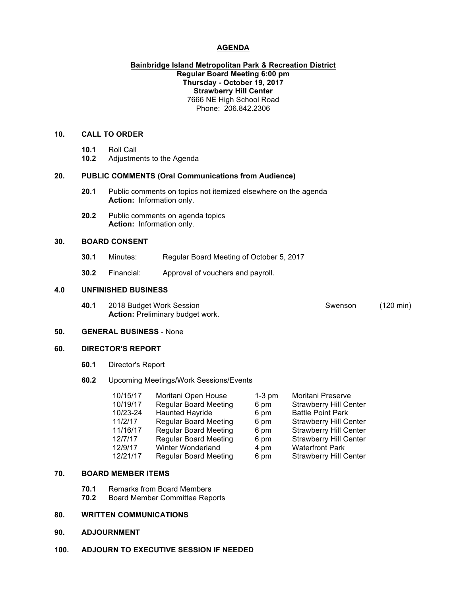### **AGENDA**

### **Bainbridge Island Metropolitan Park & Recreation District Regular Board Meeting 6:00 pm Thursday - October 19, 2017 Strawberry Hill Center** 7666 NE High School Road Phone: 206.842.2306

# **10. CALL TO ORDER**

- **10.1** Roll Call
- **10.2** Adjustments to the Agenda

#### **20. PUBLIC COMMENTS (Oral Communications from Audience)**

- **20.1** Public comments on topics not itemized elsewhere on the agenda **Action:** Information only.
- **20.2** Public comments on agenda topics **Action:** Information only.

### **30. BOARD CONSENT**

- **30.1** Minutes: Regular Board Meeting of October 5, 2017
- **30.2** Financial: Approval of vouchers and payroll.

#### **4.0 UNFINISHED BUSINESS**

**40.1** 2018 Budget Work Session Swenson (120 min) **Action:** Preliminary budget work.

#### **50. GENERAL BUSINESS** - None

### **60. DIRECTOR'S REPORT**

**60.1** Director's Report

#### **60.2** Upcoming Meetings/Work Sessions/Events

| 10/15/17 | Moritani Open House          | $1-3$ pm | Moritani Preserve             |
|----------|------------------------------|----------|-------------------------------|
| 10/19/17 | <b>Regular Board Meeting</b> | 6 pm     | <b>Strawberry Hill Center</b> |
| 10/23-24 | <b>Haunted Hayride</b>       | 6 pm     | <b>Battle Point Park</b>      |
| 11/2/17  | <b>Regular Board Meeting</b> | 6 pm     | <b>Strawberry Hill Center</b> |
| 11/16/17 | <b>Regular Board Meeting</b> | 6 pm     | <b>Strawberry Hill Center</b> |
| 12/7/17  | <b>Regular Board Meeting</b> | 6 pm     | <b>Strawberry Hill Center</b> |
| 12/9/17  | Winter Wonderland            | 4 pm     | <b>Waterfront Park</b>        |
| 12/21/17 | <b>Regular Board Meeting</b> | 6 pm     | <b>Strawberry Hill Center</b> |

### **70. BOARD MEMBER ITEMS**

- **70.1** Remarks from Board Members<br>**70.2** Board Member Committee Rep
	- **70.2** Board Member Committee Reports

# **80. WRITTEN COMMUNICATIONS**

- **90. ADJOURNMENT**
- **100. ADJOURN TO EXECUTIVE SESSION IF NEEDED**